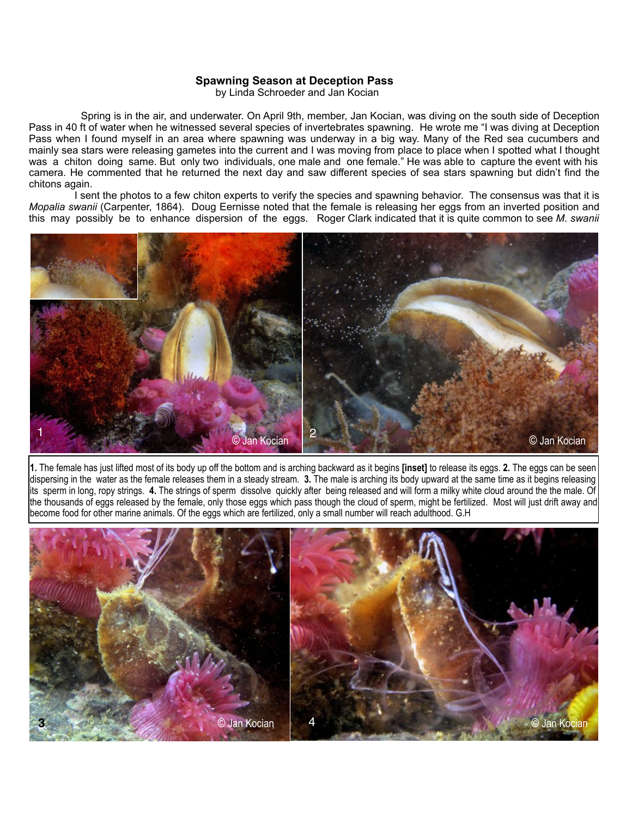## **Spawning Season at Deception Pass**

by Linda Schroeder and Jan Kocian

 Spring is in the air, and underwater. On April 9th, member, Jan Kocian, was diving on the south side of Deception Pass in 40 ft of water when he witnessed several species of invertebrates spawning. He wrote me "I was diving at Deception Pass when I found myself in an area where spawning was underway in a big way. Many of the Red sea cucumbers and mainly sea stars were releasing gametes into the current and I was moving from place to place when I spotted what I thought was a chiton doing same. But only two individuals, one male and one female." He was able to capture the event with his camera. He commented that he returned the next day and saw different species of sea stars spawning but didn't find the chitons again.

 I sent the photos to a few chiton experts to verify the species and spawning behavior. The consensus was that it is *Mopalia swanii* (Carpenter, 1864). Doug Eernisse noted that the female is releasing her eggs from an inverted position and this may possibly be to enhance dispersion of the eggs. Roger Clark indicated that it is quite common to see *M. swanii*



**1.** The female has just lifted most of its body up off the bottom and is arching backward as it begins **[inset]** to release its eggs. **2.** The eggs can be seen dispersing in the water as the female releases them in a steady stream. **3.** The male is arching its body upward at the same time as it begins releasing its sperm in long, ropy strings. **4.** The strings of sperm dissolve quickly after being released and will form a milky white cloud around the the male. Of the thousands of eggs released by the female, only those eggs which pass though the cloud of sperm, might be fertilized. Most will just drift away and become food for other marine animals. Of the eggs which are fertilized, only a small number will reach adulthood. G.H